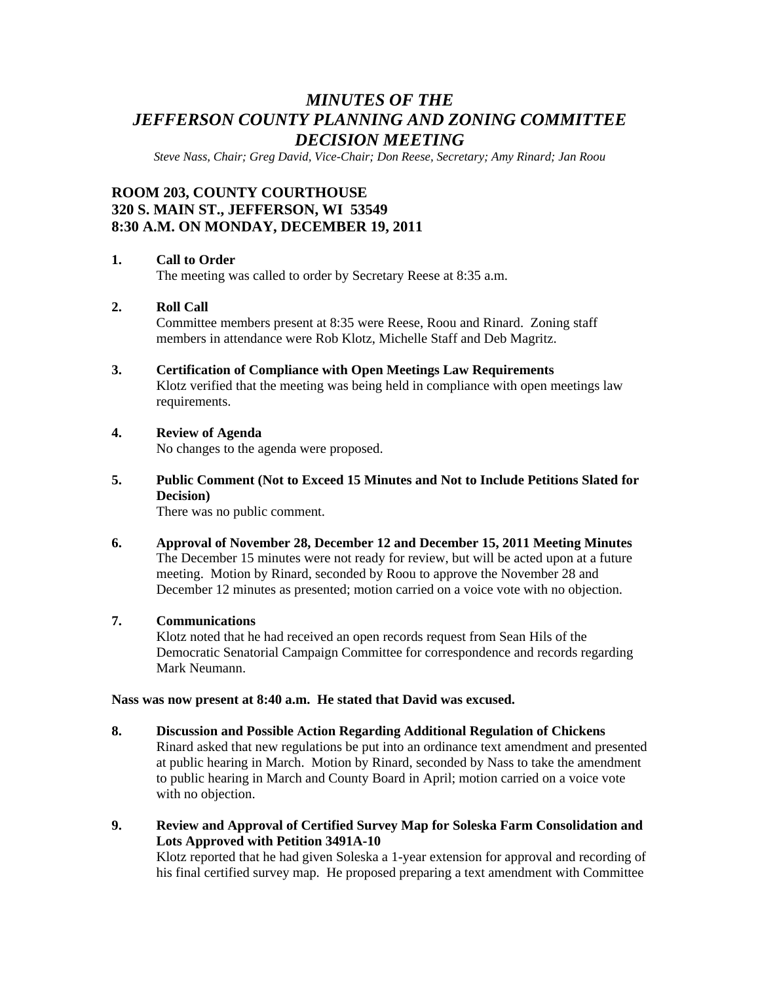# *MINUTES OF THE JEFFERSON COUNTY PLANNING AND ZONING COMMITTEE DECISION MEETING*

*Steve Nass, Chair; Greg David, Vice-Chair; Don Reese, Secretary; Amy Rinard; Jan Roou* 

## **ROOM 203, COUNTY COURTHOUSE 320 S. MAIN ST., JEFFERSON, WI 53549 8:30 A.M. ON MONDAY, DECEMBER 19, 2011**

#### **1. Call to Order**

The meeting was called to order by Secretary Reese at 8:35 a.m.

## **2. Roll Call**

Committee members present at 8:35 were Reese, Roou and Rinard. Zoning staff members in attendance were Rob Klotz, Michelle Staff and Deb Magritz.

## **3. Certification of Compliance with Open Meetings Law Requirements**

Klotz verified that the meeting was being held in compliance with open meetings law requirements.

### **4. Review of Agenda**

No changes to the agenda were proposed.

## **5. Public Comment (Not to Exceed 15 Minutes and Not to Include Petitions Slated for Decision)**

There was no public comment.

**6. Approval of November 28, December 12 and December 15, 2011 Meeting Minutes**  The December 15 minutes were not ready for review, but will be acted upon at a future meeting. Motion by Rinard, seconded by Roou to approve the November 28 and December 12 minutes as presented; motion carried on a voice vote with no objection.

#### **7. Communications**

Klotz noted that he had received an open records request from Sean Hils of the Democratic Senatorial Campaign Committee for correspondence and records regarding Mark Neumann.

#### **Nass was now present at 8:40 a.m. He stated that David was excused.**

- **8. Discussion and Possible Action Regarding Additional Regulation of Chickens**  Rinard asked that new regulations be put into an ordinance text amendment and presented at public hearing in March. Motion by Rinard, seconded by Nass to take the amendment to public hearing in March and County Board in April; motion carried on a voice vote with no objection.
- **9. Review and Approval of Certified Survey Map for Soleska Farm Consolidation and Lots Approved with Petition 3491A-10**

Klotz reported that he had given Soleska a 1-year extension for approval and recording of his final certified survey map. He proposed preparing a text amendment with Committee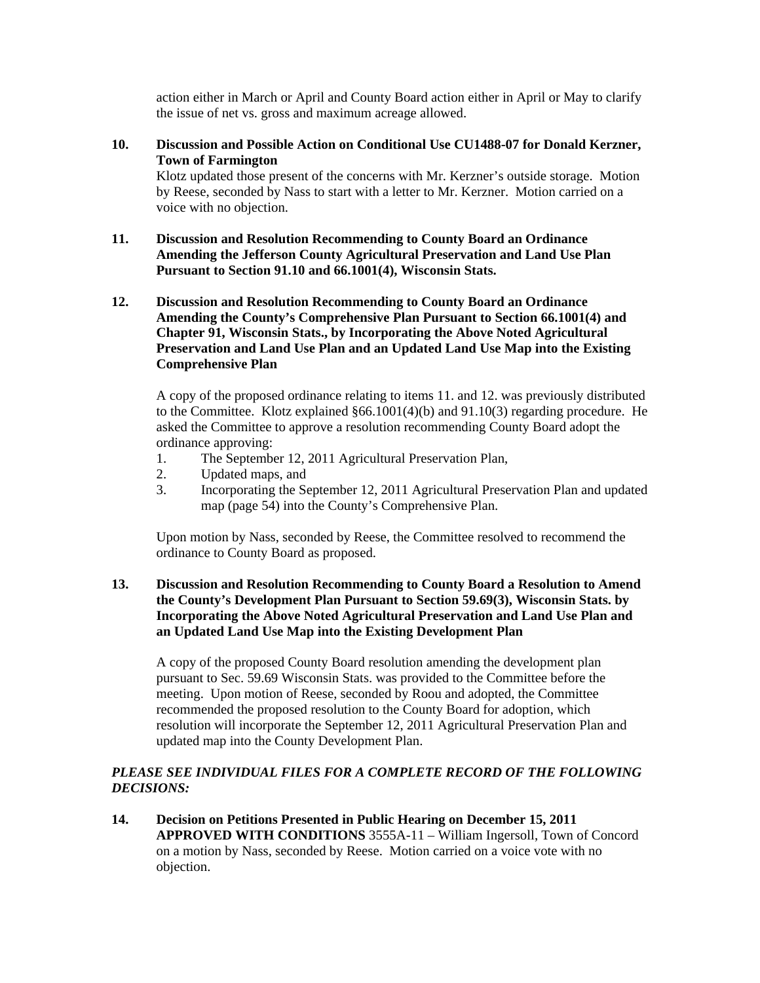action either in March or April and County Board action either in April or May to clarify the issue of net vs. gross and maximum acreage allowed.

**10. Discussion and Possible Action on Conditional Use CU1488-07 for Donald Kerzner, Town of Farmington** 

Klotz updated those present of the concerns with Mr. Kerzner's outside storage. Motion by Reese, seconded by Nass to start with a letter to Mr. Kerzner. Motion carried on a voice with no objection.

- **11. Discussion and Resolution Recommending to County Board an Ordinance Amending the Jefferson County Agricultural Preservation and Land Use Plan Pursuant to Section 91.10 and 66.1001(4), Wisconsin Stats.**
- **12. Discussion and Resolution Recommending to County Board an Ordinance Amending the County's Comprehensive Plan Pursuant to Section 66.1001(4) and Chapter 91, Wisconsin Stats., by Incorporating the Above Noted Agricultural Preservation and Land Use Plan and an Updated Land Use Map into the Existing Comprehensive Plan**

A copy of the proposed ordinance relating to items 11. and 12. was previously distributed to the Committee. Klotz explained §66.1001(4)(b) and 91.10(3) regarding procedure. He asked the Committee to approve a resolution recommending County Board adopt the ordinance approving:

- 1. The September 12, 2011 Agricultural Preservation Plan,
- 2. Updated maps, and
- 3. Incorporating the September 12, 2011 Agricultural Preservation Plan and updated map (page 54) into the County's Comprehensive Plan.

 Upon motion by Nass, seconded by Reese, the Committee resolved to recommend the ordinance to County Board as proposed.

**13. Discussion and Resolution Recommending to County Board a Resolution to Amend the County's Development Plan Pursuant to Section 59.69(3), Wisconsin Stats. by Incorporating the Above Noted Agricultural Preservation and Land Use Plan and an Updated Land Use Map into the Existing Development Plan** 

 A copy of the proposed County Board resolution amending the development plan pursuant to Sec. 59.69 Wisconsin Stats. was provided to the Committee before the meeting. Upon motion of Reese, seconded by Roou and adopted, the Committee recommended the proposed resolution to the County Board for adoption, which resolution will incorporate the September 12, 2011 Agricultural Preservation Plan and updated map into the County Development Plan.

## PLEASE SEE INDIVIDUAL FILES FOR A COMPLETE RECORD OF THE FOLLOWING *DECISIONS:*

**14. Decision on Petitions Presented in Public Hearing on December 15, 2011 APPROVED WITH CONDITIONS** 3555A-11 – William Ingersoll, Town of Concord on a motion by Nass, seconded by Reese. Motion carried on a voice vote with no objection.